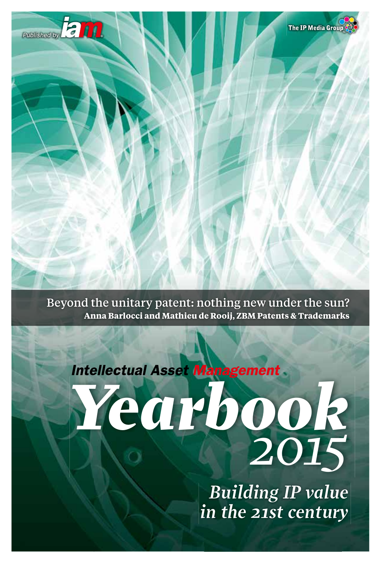

Beyond the unitary patent: nothing new under the sun? **Anna Barlocci and Mathieu de Rooij, ZBM Patents & Trademarks**

*Yearbook 2015*

> *Building IP value in the 21st century*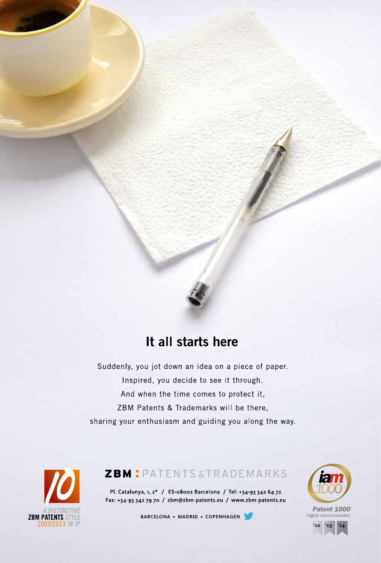

## It all starts here

Suddenly, you jot down an idea on a piece of paper. Inspired, you decide to see it through. And when the time comes to protect it, ZBM Patents & Trademarks will be there, sharing your enthusiasm and guiding you along the way.



### **ZBM** PATENTS & TRADEMARKS

Pl. Catalunya, 1, 2° / ES-08002 Barcelona / Tel: +34-93 342 64 72 Fax: +34-93 342 79 70 / zbm@zbm-patents.eu / www.zbm-patents.eu

BARCELONA • MADRID • COPENHAGEN



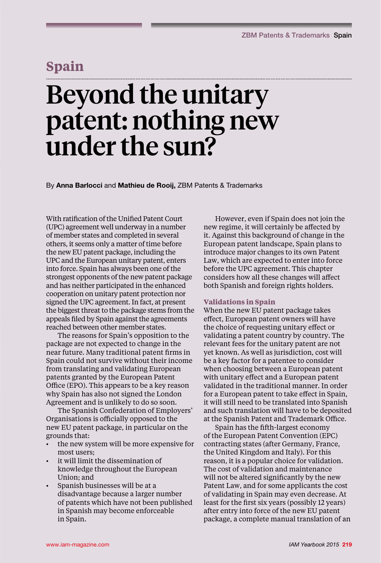### **Spain**

# Beyond the unitary patent: nothing new under the sun?

By **Anna Barlocci** and **Mathieu de Rooij,** ZBM Patents & Trademarks

With ratification of the Unified Patent Court (UPC) agreement well underway in a number of member states and completed in several others, it seems only a matter of time before the new EU patent package, including the UPC and the European unitary patent, enters into force. Spain has always been one of the strongest opponents of the new patent package and has neither participated in the enhanced cooperation on unitary patent protection nor signed the UPC agreement. In fact, at present the biggest threat to the package stems from the appeals filed by Spain against the agreements reached between other member states.

The reasons for Spain's opposition to the package are not expected to change in the near future. Many traditional patent firms in Spain could not survive without their income from translating and validating European patents granted by the European Patent Office (EPO). This appears to be a key reason why Spain has also not signed the London Agreement and is unlikely to do so soon.

The Spanish Confederation of Employers' Organisations is officially opposed to the new EU patent package, in particular on the grounds that:

- the new system will be more expensive for most users;
- it will limit the dissemination of knowledge throughout the European Union; and
- Spanish businesses will be at a disadvantage because a larger number of patents which have not been published in Spanish may become enforceable in Spain.

However, even if Spain does not join the new regime, it will certainly be affected by it. Against this background of change in the European patent landscape, Spain plans to introduce major changes to its own Patent Law, which are expected to enter into force before the UPC agreement. This chapter considers how all these changes will affect both Spanish and foreign rights holders.

#### **Validations in Spain**

When the new EU patent package takes effect, European patent owners will have the choice of requesting unitary effect or validating a patent country by country. The relevant fees for the unitary patent are not yet known. As well as jurisdiction, cost will be a key factor for a patentee to consider when choosing between a European patent with unitary effect and a European patent validated in the traditional manner. In order for a European patent to take effect in Spain, it will still need to be translated into Spanish and such translation will have to be deposited at the Spanish Patent and Trademark Office.

Spain has the fifth-largest economy of the European Patent Convention (EPC) contracting states (after Germany, France, the United Kingdom and Italy). For this reason, it is a popular choice for validation. The cost of validation and maintenance will not be altered significantly by the new Patent Law, and for some applicants the cost of validating in Spain may even decrease. At least for the first six years (possibly 12 years) after entry into force of the new EU patent package, a complete manual translation of an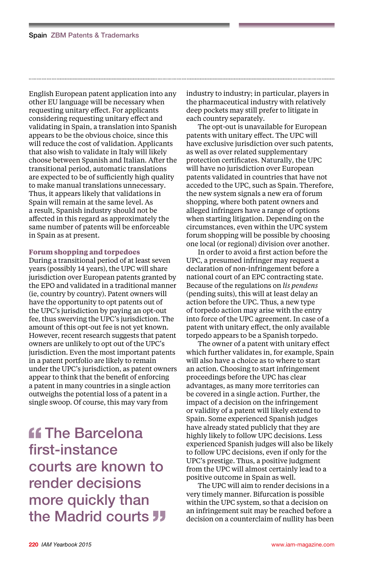English European patent application into any other EU language will be necessary when requesting unitary effect. For applicants considering requesting unitary effect and validating in Spain, a translation into Spanish appears to be the obvious choice, since this will reduce the cost of validation. Applicants that also wish to validate in Italy will likely choose between Spanish and Italian. After the transitional period, automatic translations are expected to be of sufficiently high quality to make manual translations unnecessary. Thus, it appears likely that validations in Spain will remain at the same level. As a result, Spanish industry should not be affected in this regard as approximately the same number of patents will be enforceable in Spain as at present.

#### **Forum shopping and torpedoes**

During a transitional period of at least seven years (possibly 14 years), the UPC will share jurisdiction over European patents granted by the EPO and validated in a traditional manner (ie, country by country). Patent owners will have the opportunity to opt patents out of the UPC's jurisdiction by paying an opt-out fee, thus swerving the UPC's jurisdiction. The amount of this opt-out fee is not yet known. However, recent research suggests that patent owners are unlikely to opt out of the UPC's jurisdiction. Even the most important patents in a patent portfolio are likely to remain under the UPC's jurisdiction, as patent owners appear to think that the benefit of enforcing a patent in many countries in a single action outweighs the potential loss of a patent in a single swoop. Of course, this may vary from

**ff** The Barcelona first-instance courts are known to render decisions more quickly than the Madrid courts **JJ** 

industry to industry; in particular, players in the pharmaceutical industry with relatively deep pockets may still prefer to litigate in each country separately.

The opt-out is unavailable for European patents with unitary effect. The UPC will have exclusive jurisdiction over such patents, as well as over related supplementary protection certificates. Naturally, the UPC will have no jurisdiction over European patents validated in countries that have not acceded to the UPC, such as Spain. Therefore, the new system signals a new era of forum shopping, where both patent owners and alleged infringers have a range of options when starting litigation. Depending on the circumstances, even within the UPC system forum shopping will be possible by choosing one local (or regional) division over another.

In order to avoid a first action before the UPC, a presumed infringer may request a declaration of non-infringement before a national court of an EPC contracting state. Because of the regulations on *lis pendens* (pending suits), this will at least delay an action before the UPC. Thus, a new type of torpedo action may arise with the entry into force of the UPC agreement. In case of a patent with unitary effect, the only available torpedo appears to be a Spanish torpedo.

The owner of a patent with unitary effect which further validates in, for example, Spain will also have a choice as to where to start an action. Choosing to start infringement proceedings before the UPC has clear advantages, as many more territories can be covered in a single action. Further, the impact of a decision on the infringement or validity of a patent will likely extend to Spain. Some experienced Spanish judges have already stated publicly that they are highly likely to follow UPC decisions. Less experienced Spanish judges will also be likely to follow UPC decisions, even if only for the UPC's prestige. Thus, a positive judgment from the UPC will almost certainly lead to a positive outcome in Spain as well.

The UPC will aim to render decisions in a very timely manner. Bifurcation is possible within the UPC system, so that a decision on an infringement suit may be reached before a decision on a counterclaim of nullity has been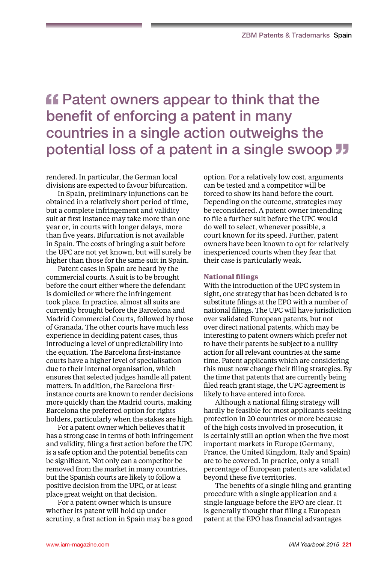# **ff** Patent owners appear to think that the benefit of enforcing a patent in many countries in a single action outweighs the potential loss of a patent in a single swoop **JJ**

rendered. In particular, the German local divisions are expected to favour bifurcation.

In Spain, preliminary injunctions can be obtained in a relatively short period of time, but a complete infringement and validity suit at first instance may take more than one year or, in courts with longer delays, more than five years. Bifurcation is not available in Spain. The costs of bringing a suit before the UPC are not yet known, but will surely be higher than those for the same suit in Spain.

Patent cases in Spain are heard by the commercial courts. A suit is to be brought before the court either where the defendant is domiciled or where the infringement took place. In practice, almost all suits are currently brought before the Barcelona and Madrid Commercial Courts, followed by those of Granada. The other courts have much less experience in deciding patent cases, thus introducing a level of unpredictability into the equation. The Barcelona first-instance courts have a higher level of specialisation due to their internal organisation, which ensures that selected judges handle all patent matters. In addition, the Barcelona firstinstance courts are known to render decisions more quickly than the Madrid courts, making Barcelona the preferred option for rights holders, particularly when the stakes are high.

For a patent owner which believes that it has a strong case in terms of both infringement and validity, filing a first action before the UPC is a safe option and the potential benefits can be significant. Not only can a competitor be removed from the market in many countries, but the Spanish courts are likely to follow a positive decision from the UPC, or at least place great weight on that decision.

For a patent owner which is unsure whether its patent will hold up under scrutiny, a first action in Spain may be a good option. For a relatively low cost, arguments can be tested and a competitor will be forced to show its hand before the court. Depending on the outcome, strategies may be reconsidered. A patent owner intending to file a further suit before the UPC would do well to select, whenever possible, a court known for its speed. Further, patent owners have been known to opt for relatively inexperienced courts when they fear that their case is particularly weak.

#### **National filings**

With the introduction of the UPC system in sight, one strategy that has been debated is to substitute filings at the EPO with a number of national filings. The UPC will have jurisdiction over validated European patents, but not over direct national patents, which may be interesting to patent owners which prefer not to have their patents be subject to a nullity action for all relevant countries at the same time. Patent applicants which are considering this must now change their filing strategies. By the time that patents that are currently being filed reach grant stage, the UPC agreement is likely to have entered into force.

Although a national filing strategy will hardly be feasible for most applicants seeking protection in 20 countries or more because of the high costs involved in prosecution, it is certainly still an option when the five most important markets in Europe (Germany, France, the United Kingdom, Italy and Spain) are to be covered. In practice, only a small percentage of European patents are validated beyond these five territories.

The benefits of a single filing and granting procedure with a single application and a single language before the EPO are clear. It is generally thought that filing a European patent at the EPO has financial advantages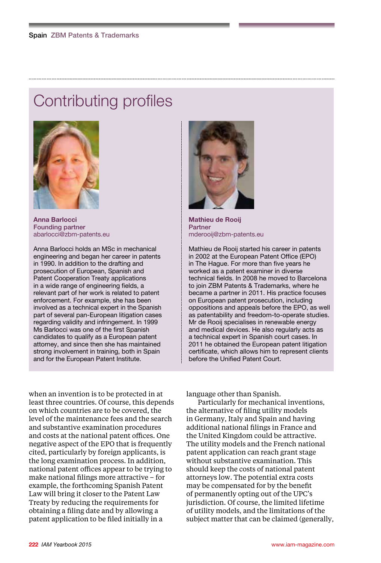# Contributing profiles



**Anna Barlocci** Founding partner abarlocci@zbm-patents.eu

Anna Barlocci holds an MSc in mechanical engineering and began her career in patents in 1990. In addition to the drafting and prosecution of European, Spanish and Patent Cooperation Treaty applications in a wide range of engineering fields, a relevant part of her work is related to patent enforcement. For example, she has been involved as a technical expert in the Spanish part of several pan-European litigation cases regarding validity and infringement. In 1999 Ms Barlocci was one of the first Spanish candidates to qualify as a European patent attorney, and since then she has maintained strong involvement in training, both in Spain and for the European Patent Institute.



**Mathieu de Rooij** Partner mderooij@zbm-patents.eu

Mathieu de Rooij started his career in patents in 2002 at the European Patent Office (EPO) in The Hague. For more than five years he worked as a patent examiner in diverse technical fields. In 2008 he moved to Barcelona to join ZBM Patents & Trademarks, where he became a partner in 2011. His practice focuses on European patent prosecution, including oppositions and appeals before the EPO, as well as patentability and freedom-to-operate studies. Mr de Rooij specialises in renewable energy and medical devices. He also regularly acts as a technical expert in Spanish court cases. In 2011 he obtained the European patent litigation certificate, which allows him to represent clients before the Unified Patent Court.

when an invention is to be protected in at least three countries. Of course, this depends on which countries are to be covered, the level of the maintenance fees and the search and substantive examination procedures and costs at the national patent offices. One negative aspect of the EPO that is frequently cited, particularly by foreign applicants, is the long examination process. In addition, national patent offices appear to be trying to make national filings more attractive – for example, the forthcoming Spanish Patent Law will bring it closer to the Patent Law Treaty by reducing the requirements for obtaining a filing date and by allowing a patent application to be filed initially in a

language other than Spanish.

Particularly for mechanical inventions, the alternative of filing utility models in Germany, Italy and Spain and having additional national filings in France and the United Kingdom could be attractive. The utility models and the French national patent application can reach grant stage without substantive examination. This should keep the costs of national patent attorneys low. The potential extra costs may be compensated for by the benefit of permanently opting out of the UPC's jurisdiction. Of course, the limited lifetime of utility models, and the limitations of the subject matter that can be claimed (generally,